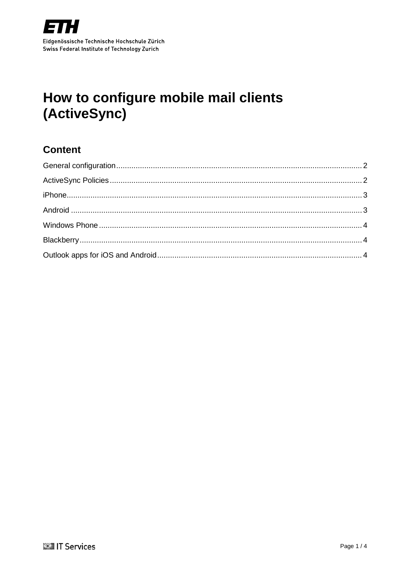

# <span id="page-0-0"></span>How to configure mobile mail clients (ActiveSync)

## **Content**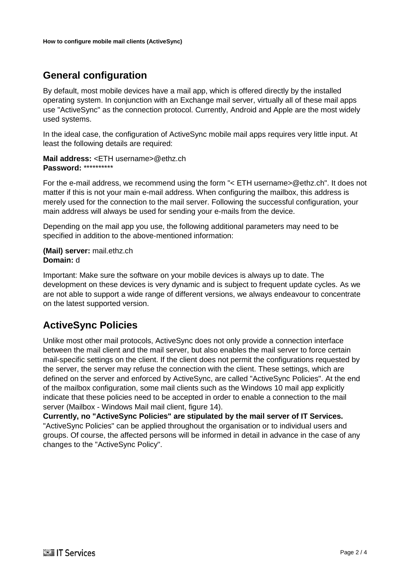## <span id="page-1-0"></span>**General configuration**

By default, most mobile devices have a mail app, which is offered directly by the installed operating system. In conjunction with an Exchange mail server, virtually all of these mail apps use "ActiveSync" as the connection protocol. Currently, Android and Apple are the most widely used systems.

In the ideal case, the configuration of ActiveSync mobile mail apps requires very little input. At least the following details are required:

**Mail address:** *<*ETH username>@ethz.ch **Password:** \*\*\*\*\*\*\*\*\*\*

For the e-mail address, we recommend using the form "< ETH username>@ethz.ch". It does not matter if this is not your main e-mail address. When configuring the mailbox, this address is merely used for the connection to the mail server. Following the successful configuration, your main address will always be used for sending your e-mails from the device.

Depending on the mail app you use, the following additional parameters may need to be specified in addition to the above-mentioned information:

**(Mail) server:** mail.ethz.ch **Domain:** d

Important: Make sure the software on your mobile devices is always up to date. The development on these devices is very dynamic and is subject to frequent update cycles. As we are not able to support a wide range of different versions, we always endeavour to concentrate on the latest supported version.

#### <span id="page-1-1"></span>**ActiveSync Policies**

Unlike most other mail protocols, ActiveSync does not only provide a connection interface between the mail client and the mail server, but also enables the mail server to force certain mail-specific settings on the client. If the client does not permit the configurations requested by the server, the server may refuse the connection with the client. These settings, which are defined on the server and enforced by ActiveSync, are called "ActiveSync Policies". At the end of the mailbox configuration, some mail clients such as the Windows 10 mail app explicitly indicate that these policies need to be accepted in order to enable a connection to the mail server (Mailbox - Windows Mail mail client, figure 14).

<span id="page-1-2"></span>**Currently, no "ActiveSync Policies" are stipulated by the mail server of IT Services.** "ActiveSync Policies" can be applied throughout the organisation or to individual users and groups. Of course, the affected persons will be informed in detail in advance in the case of any changes to the "ActiveSync Policy".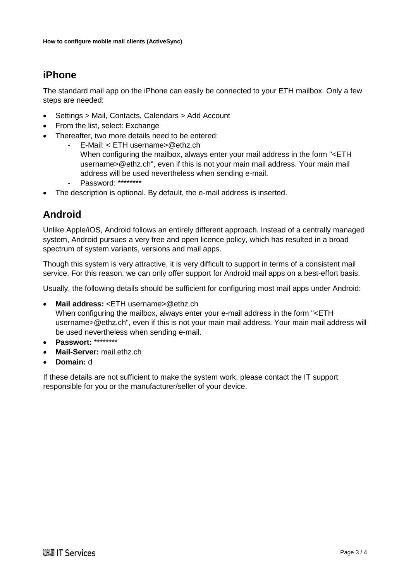## **iPhone**

The standard mail app on the iPhone can easily be connected to your ETH mailbox. Only a few steps are needed:

- Settings > Mail, Contacts, Calendars > Add Account
- From the list, select: Exchange
- Thereafter, two more details need to be entered:
	- E-Mail: < ETH username>@ethz.ch When configuring the mailbox, always enter your mail address in the form "<ETH username>@ethz.ch", even if this is not your main mail address. Your main mail address will be used nevertheless when sending e-mail.
	- Password: \*\*\*\*\*\*\*\*
- The description is optional. By default, the e-mail address is inserted.

## <span id="page-2-0"></span>**Android**

Unlike Apple/iOS, Android follows an entirely different approach. Instead of a centrally managed system, Android pursues a very free and open licence policy, which has resulted in a broad spectrum of system variants, versions and mail apps.

Though this system is very attractive, it is very difficult to support in terms of a consistent mail service. For this reason, we can only offer support for Android mail apps on a best-effort basis.

Usually, the following details should be sufficient for configuring most mail apps under Android:

• **Mail address:** <ETH username>@ethz.ch

When configuring the mailbox, always enter your e-mail address in the form "<ETH username>@ethz.ch", even if this is not your main mail address. Your main mail address will be used nevertheless when sending e-mail.

- **Passwort:** \*\*\*\*\*\*\*\*
- **Mail-Server:** mail.ethz.ch
- **Domain:** d

If these details are not sufficient to make the system work, please contact the IT support responsible for you or the manufacturer/seller of your device.